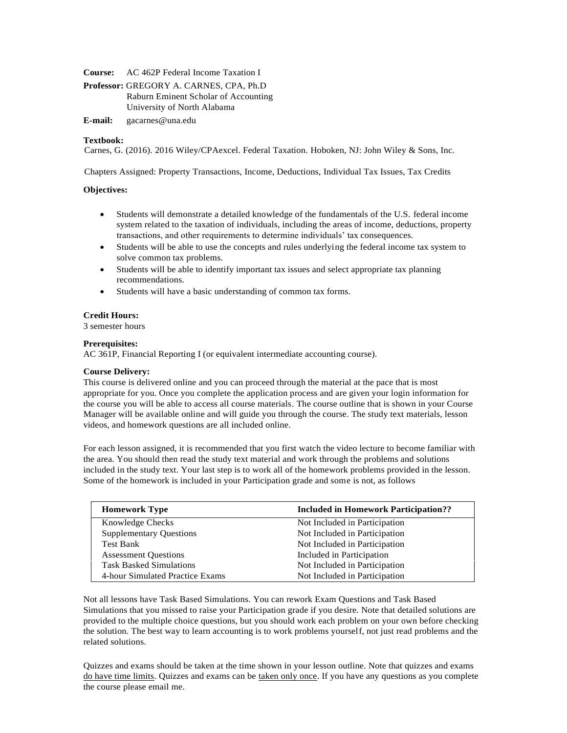**Course:** AC 462P Federal Income Taxation I

**Professor:** GREGORY A. CARNES, CPA, Ph.D Raburn Eminent Scholar of Accounting University of North Alabama

**E-mail:** [gacarnes@una.edu](mailto:gacarnes@una.edu)

# **Textbook:**

Carnes, G. (2016). 2016 Wiley/CPAexcel. Federal Taxation. Hoboken, NJ: John Wiley & Sons, Inc.

Chapters Assigned: Property Transactions, Income, Deductions, Individual Tax Issues, Tax Credits

## **Objectives:**

- Students will demonstrate a detailed knowledge of the fundamentals of the U.S. federal income system related to the taxation of individuals, including the areas of income, deductions, property transactions, and other requirements to determine individuals' tax consequences.
- Students will be able to use the concepts and rules underlying the federal income tax system to solve common tax problems.
- Students will be able to identify important tax issues and select appropriate tax planning recommendations.
- Students will have a basic understanding of common tax forms.

# **Credit Hours:**

3 semester hours

## **Prerequisites:**

AC 361P, Financial Reporting I (or equivalent intermediate accounting course).

## **Course Delivery:**

This course is delivered online and you can proceed through the material at the pace that is most appropriate for you. Once you complete the application process and are given your login information for the course you will be able to access all course material[s. T](http://www.cpaexcel.com/)he course outline that is shown in your Course Manager will be available online and will guide you through the course. The study text materials, lesson videos, and homework questions are all included online.

For each lesson assigned, it is recommended that you first watch the video lecture to become familiar with the area. You should then read the study text material and work through the problems and solutions included in the study text. Your last step is to work all of the homework problems provided in the lesson. Some of the homework is included in your Participation grade and some is not, as follows

| <b>Homework Type</b>            | <b>Included in Homework Participation??</b> |
|---------------------------------|---------------------------------------------|
| <b>Knowledge Checks</b>         | Not Included in Participation               |
| <b>Supplementary Questions</b>  | Not Included in Participation               |
| <b>Test Bank</b>                | Not Included in Participation               |
| <b>Assessment Questions</b>     | Included in Participation                   |
| <b>Task Basked Simulations</b>  | Not Included in Participation               |
| 4-hour Simulated Practice Exams | Not Included in Participation               |

Not all lessons have Task Based Simulations. You can rework Exam Questions and Task Based Simulations that you missed to raise your Participation grade if you desire. Note that detailed solutions are provided to the multiple choice questions, but you should work each problem on your own before checking the solution. The best way to learn accounting is to work problems yourself, not just read problems and the related solutions.

Quizzes and exams should be taken at the time shown in your lesson outline. Note that quizzes and exams do have time limits. Quizzes and exams can be taken only once. If you have any questions as you complete the course please email me.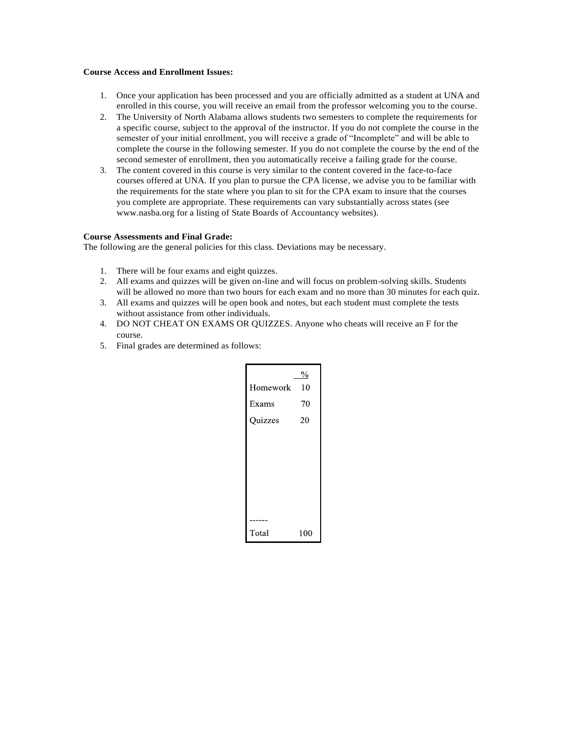# **Course Access and Enrollment Issues:**

- 1. Once your application has been processed and you are officially admitted as a student at UNA and enrolled in this course, you will receive an email from the professor welcoming you to the course.
- 2. The University of North Alabama allows students two semesters to complete the requirements for a specific course, subject to the approval of the instructor. If you do not complete the course in the semester of your initial enrollment, you will receive a grade of "Incomplete" and will be able to complete the course in the following semester. If you do not complete the course by the end of the second semester of enrollment, then you automatically receive a failing grade for the course.
- 3. The content covered in this course is very similar to the content covered in the face-to-face courses offered at UNA. If you plan to pursue the CPA license, we advise you to be familiar with the requirements for the state where you plan to sit for the CPA exam to insure that the courses you complete are appropriate. These requirements can vary substantially across states (see [www.nasba.org f](http://www.nasba.org/)or a listing of State Boards of Accountancy websites).

## **Course Assessments and Final Grade:**

The following are the general policies for this class. Deviations may be necessary.

- 1. There will be four exams and eight quizzes.
- 2. All exams and quizzes will be given on-line and will focus on problem-solving skills. Students will be allowed no more than two hours for each exam and no more than 30 minutes for each quiz.
- 3. All exams and quizzes will be open book and notes, but each student must complete the tests without assistance from other individuals.
- 4. DO NOT CHEAT ON EXAMS OR QUIZZES. Anyone who cheats will receive an F for the course.
- 5. Final grades are determined as follows:

| Homework | $\frac{0}{0}$<br>10 |
|----------|---------------------|
| Exams    | 70                  |
| Quizzes  | 20                  |
|          |                     |
|          |                     |
|          |                     |
| $- - -$  |                     |
| Total    | 100                 |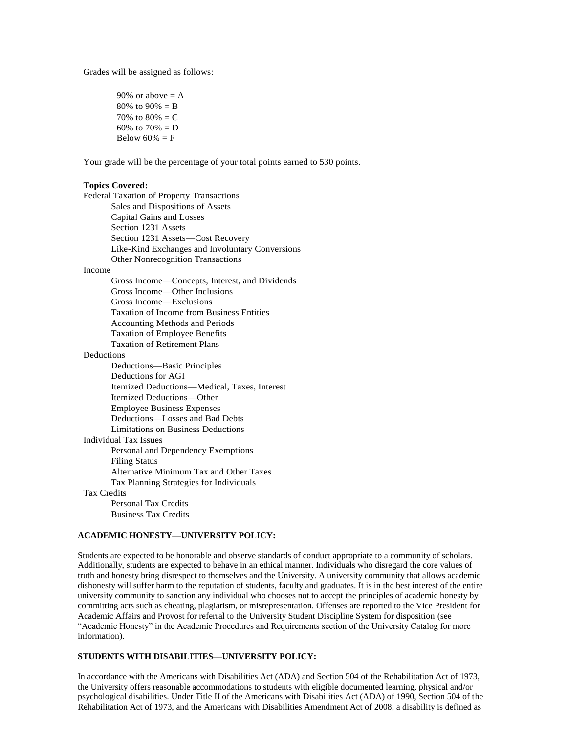Grades will be assigned as follows:

90% or above  $= A$  $80\%$  to  $90\% = B$ 70% to  $80% = C$ 60% to  $70% = D$ Below  $60\% = F$ 

Your grade will be the percentage of your total points earned to 530 points.

#### **Topics Covered:**

Federal Taxation of Property Transactions Sales and Dispositions of Assets Capital Gains and Losses Section 1231 Assets Section 1231 Assets—Cost Recovery Like-Kind Exchanges and Involuntary Conversions Other Nonrecognition Transactions Income Gross Income—Concepts, Interest, and Dividends Gross Income—Other Inclusions Gross Income—Exclusions Taxation of Income from Business Entities Accounting Methods and Periods

Taxation of Employee Benefits

Taxation of Retirement Plans

**Deductions** 

| Deductions—Basic Principles                  |
|----------------------------------------------|
| Deductions for AGI                           |
| Itemized Deductions—Medical, Taxes, Interest |
| Itemized Deductions—Other                    |
| <b>Employee Business Expenses</b>            |
| Deductions—Losses and Bad Debts              |
| Limitations on Business Deductions           |
| Individual Tax Issues                        |
| Personal and Dependency Exemptions           |
| <b>Filing Status</b>                         |
| Alternative Minimum Tax and Other Taxes      |
| Tax Planning Strategies for Individuals      |
| Tax Credits                                  |
| Personal Tax Credits                         |

# **ACADEMIC HONESTY—UNIVERSITY POLICY:**

Business Tax Credits

Students are expected to be honorable and observe standards of conduct appropriate to a community of scholars. Additionally, students are expected to behave in an ethical manner. Individuals who disregard the core values of truth and honesty bring disrespect to themselves and the University. A university community that allows academic dishonesty will suffer harm to the reputation of students, faculty and graduates. It is in the best interest of the entire university community to sanction any individual who chooses not to accept the principles of academic honesty by committing acts such as cheating, plagiarism, or misrepresentation. Offenses are reported to the Vice President for Academic Affairs and Provost for referral to the University Student Discipline System for disposition (see "Academic Honesty" in the Academic Procedures and Requirements section of the University Catalog for more information).

# **STUDENTS WITH DISABILITIES—UNIVERSITY POLICY:**

In accordance with the Americans with Disabilities Act (ADA) and Section 504 of the Rehabilitation Act of 1973, the University offers reasonable accommodations to students with eligible documented learning, physical and/or psychological disabilities. Under Title II of the Americans with Disabilities Act (ADA) of 1990, Section 504 of the Rehabilitation Act of 1973, and the Americans with Disabilities Amendment Act of 2008, a disability is defined as